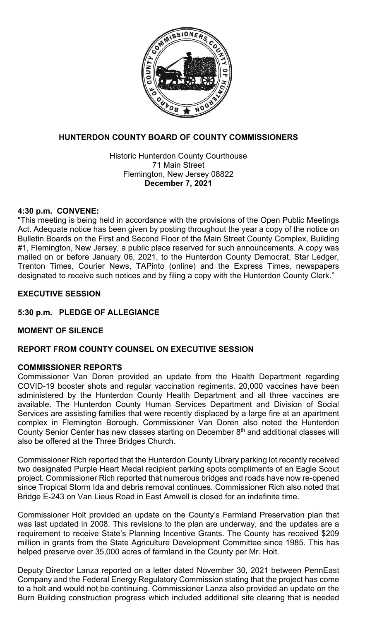

# **HUNTERDON COUNTY BOARD OF COUNTY COMMISSIONERS**

Historic Hunterdon County Courthouse 71 Main Street Flemington, New Jersey 08822 **December 7, 2021**

### **4:30 p.m. CONVENE:**

"This meeting is being held in accordance with the provisions of the Open Public Meetings Act. Adequate notice has been given by posting throughout the year a copy of the notice on Bulletin Boards on the First and Second Floor of the Main Street County Complex, Building #1, Flemington, New Jersey, a public place reserved for such announcements. A copy was mailed on or before January 06, 2021, to the Hunterdon County Democrat, Star Ledger, Trenton Times, Courier News, TAPinto (online) and the Express Times, newspapers designated to receive such notices and by filing a copy with the Hunterdon County Clerk."

### **EXECUTIVE SESSION**

# **5:30 p.m. PLEDGE OF ALLEGIANCE**

# **MOMENT OF SILENCE**

# **REPORT FROM COUNTY COUNSEL ON EXECUTIVE SESSION**

### **COMMISSIONER REPORTS**

Commissioner Van Doren provided an update from the Health Department regarding COVID-19 booster shots and regular vaccination regiments. 20,000 vaccines have been administered by the Hunterdon County Health Department and all three vaccines are available. The Hunterdon County Human Services Department and Division of Social Services are assisting families that were recently displaced by a large fire at an apartment complex in Flemington Borough. Commissioner Van Doren also noted the Hunterdon County Senior Center has new classes starting on December 8<sup>th</sup> and additional classes will also be offered at the Three Bridges Church.

Commissioner Rich reported that the Hunterdon County Library parking lot recently received two designated Purple Heart Medal recipient parking spots compliments of an Eagle Scout project. Commissioner Rich reported that numerous bridges and roads have now re-opened since Tropical Storm Ida and debris removal continues. Commissioner Rich also noted that Bridge E-243 on Van Lieus Road in East Amwell is closed for an indefinite time.

Commissioner Holt provided an update on the County's Farmland Preservation plan that was last updated in 2008. This revisions to the plan are underway, and the updates are a requirement to receive State's Planning Incentive Grants. The County has received \$209 million in grants from the State Agriculture Development Committee since 1985. This has helped preserve over 35,000 acres of farmland in the County per Mr. Holt.

Deputy Director Lanza reported on a letter dated November 30, 2021 between PennEast Company and the Federal Energy Regulatory Commission stating that the project has come to a holt and would not be continuing. Commissioner Lanza also provided an update on the Burn Building construction progress which included additional site clearing that is needed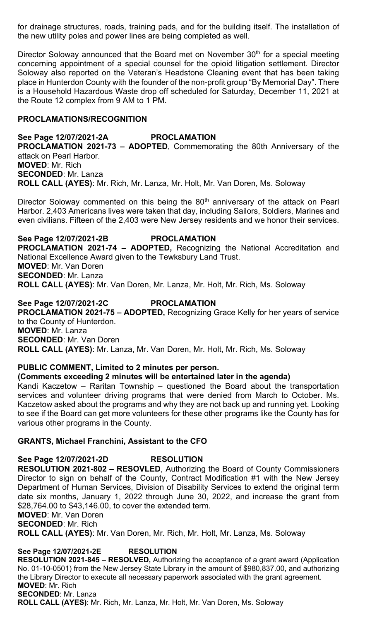for drainage structures, roads, training pads, and for the building itself. The installation of the new utility poles and power lines are being completed as well.

Director Soloway announced that the Board met on November 30<sup>th</sup> for a special meeting concerning appointment of a special counsel for the opioid litigation settlement. Director Soloway also reported on the Veteran's Headstone Cleaning event that has been taking place in Hunterdon County with the founder of the non-profit group "By Memorial Day". There is a Household Hazardous Waste drop off scheduled for Saturday, December 11, 2021 at the Route 12 complex from 9 AM to 1 PM.

### **PROCLAMATIONS/RECOGNITION**

**See Page 12/07/2021-2A PROCLAMATION PROCLAMATION 2021-73 – ADOPTED**, Commemorating the 80th Anniversary of the attack on Pearl Harbor. **MOVED**: Mr. Rich **SECONDED**: Mr. Lanza **ROLL CALL (AYES)**: Mr. Rich, Mr. Lanza, Mr. Holt, Mr. Van Doren, Ms. Soloway

Director Soloway commented on this being the 80<sup>th</sup> anniversary of the attack on Pearl Harbor. 2,403 Americans lives were taken that day, including Sailors, Soldiers, Marines and even civilians. Fifteen of the 2,403 were New Jersey residents and we honor their services.

**See Page 12/07/2021-2B PROCLAMATION PROCLAMATION 2021-74 – ADOPTED,** Recognizing the National Accreditation and National Excellence Award given to the Tewksbury Land Trust. **MOVED**: Mr. Van Doren **SECONDED**: Mr. Lanza **ROLL CALL (AYES)**: Mr. Van Doren, Mr. Lanza, Mr. Holt, Mr. Rich, Ms. Soloway

### **See Page 12/07/2021-2C PROCLAMATION**

**PROCLAMATION 2021-75 – ADOPTED,** Recognizing Grace Kelly for her years of service to the County of Hunterdon. **MOVED**: Mr. Lanza **SECONDED**: Mr. Van Doren **ROLL CALL (AYES)**: Mr. Lanza, Mr. Van Doren, Mr. Holt, Mr. Rich, Ms. Soloway

### **PUBLIC COMMENT, Limited to 2 minutes per person.**

### **(Comments exceeding 2 minutes will be entertained later in the agenda)**

Kandi Kaczetow – Raritan Township – questioned the Board about the transportation services and volunteer driving programs that were denied from March to October. Ms. Kaczetow asked about the programs and why they are not back up and running yet. Looking to see if the Board can get more volunteers for these other programs like the County has for various other programs in the County.

### **GRANTS, Michael Franchini, Assistant to the CFO**

**See Page 12/07/2021-2D RESOLUTION RESOLUTION 2021-802 – RESOVLED**, Authorizing the Board of County Commissioners Director to sign on behalf of the County, Contract Modification #1 with the New Jersey Department of Human Services, Division of Disability Services to extend the original term date six months, January 1, 2022 through June 30, 2022, and increase the grant from \$28,764.00 to \$43,146.00, to cover the extended term. **MOVED**: Mr. Van Doren

**SECONDED**: Mr. Rich

**ROLL CALL (AYES)**: Mr. Van Doren, Mr. Rich, Mr. Holt, Mr. Lanza, Ms. Soloway

### **See Page 12/07/2021-2E RESOLUTION**

**RESOLUTION 2021-845 – RESOLVED,** Authorizing the acceptance of a grant award (Application No. 01-10-0501) from the New Jersey State Library in the amount of \$980,837.00, and authorizing the Library Director to execute all necessary paperwork associated with the grant agreement. **MOVED**: Mr. Rich **SECONDED**: Mr. Lanza **ROLL CALL (AYES)**: Mr. Rich, Mr. Lanza, Mr. Holt, Mr. Van Doren, Ms. Soloway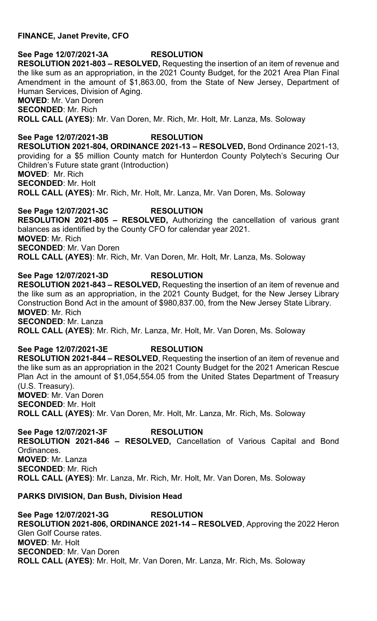# **FINANCE, Janet Previte, CFO**

**See Page 12/07/2021-3A RESOLUTION RESOLUTION 2021-803 – RESOLVED,** Requesting the insertion of an item of revenue and the like sum as an appropriation, in the 2021 County Budget, for the 2021 Area Plan Final Amendment in the amount of \$1,863.00, from the State of New Jersey, Department of Human Services, Division of Aging. **MOVED**: Mr. Van Doren

**SECONDED**: Mr. Rich

**ROLL CALL (AYES)**: Mr. Van Doren, Mr. Rich, Mr. Holt, Mr. Lanza, Ms. Soloway

**See Page 12/07/2021-3B RESOLUTION RESOLUTION 2021-804, ORDINANCE 2021-13 – RESOLVED,** Bond Ordinance 2021-13, providing for a \$5 million County match for Hunterdon County Polytech's Securing Our Children's Future state grant (Introduction) **MOVED**: Mr. Rich **SECONDED**: Mr. Holt **ROLL CALL (AYES)**: Mr. Rich, Mr. Holt, Mr. Lanza, Mr. Van Doren, Ms. Soloway

**See Page 12/07/2021-3C RESOLUTION RESOLUTION 2021-805 – RESOLVED,** Authorizing the cancellation of various grant balances as identified by the County CFO for calendar year 2021. **MOVED**: Mr. Rich **SECONDED**: Mr. Van Doren **ROLL CALL (AYES)**: Mr. Rich, Mr. Van Doren, Mr. Holt, Mr. Lanza, Ms. Soloway

**See Page 12/07/2021-3D RESOLUTION RESOLUTION 2021-843 – RESOLVED,** Requesting the insertion of an item of revenue and the like sum as an appropriation, in the 2021 County Budget, for the New Jersey Library Construction Bond Act in the amount of \$980,837.00, from the New Jersey State Library. **MOVED**: Mr. Rich **SECONDED**: Mr. Lanza **ROLL CALL (AYES)**: Mr. Rich, Mr. Lanza, Mr. Holt, Mr. Van Doren, Ms. Soloway

**See Page 12/07/2021-3E RESOLUTION RESOLUTION 2021-844 – RESOLVED**, Requesting the insertion of an item of revenue and the like sum as an appropriation in the 2021 County Budget for the 2021 American Rescue Plan Act in the amount of \$1,054,554.05 from the United States Department of Treasury (U.S. Treasury). **MOVED**: Mr. Van Doren **SECONDED**: Mr. Holt **ROLL CALL (AYES)**: Mr. Van Doren, Mr. Holt, Mr. Lanza, Mr. Rich, Ms. Soloway

**See Page 12/07/2021-3F RESOLUTION RESOLUTION 2021-846 – RESOLVED,** Cancellation of Various Capital and Bond Ordinances. **MOVED**: Mr. Lanza **SECONDED**: Mr. Rich **ROLL CALL (AYES)**: Mr. Lanza, Mr. Rich, Mr. Holt, Mr. Van Doren, Ms. Soloway

# **PARKS DIVISION, Dan Bush, Division Head**

**See Page 12/07/2021-3G RESOLUTION RESOLUTION 2021-806, ORDINANCE 2021-14 – RESOLVED**, Approving the 2022 Heron Glen Golf Course rates. **MOVED**: Mr. Holt **SECONDED**: Mr. Van Doren **ROLL CALL (AYES)**: Mr. Holt, Mr. Van Doren, Mr. Lanza, Mr. Rich, Ms. Soloway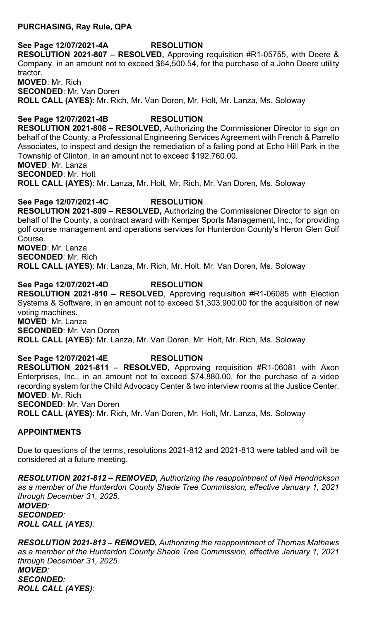### **PURCHASING, Ray Rule, QPA**

# **See Page 12/07/2021-4A RESOLUTION**

**RESOLUTION 2021-807 – RESOLVED,** Approving requisition #R1-05755, with Deere & Company, in an amount not to exceed \$64,500.54, for the purchase of a John Deere utility tractor. **MOVED**: Mr. Rich **SECONDED**: Mr. Van Doren **ROLL CALL (AYES)**: Mr. Rich, Mr. Van Doren, Mr. Holt, Mr. Lanza, Ms. Soloway

**See Page 12/07/2021-4B RESOLUTION RESOLUTION 2021-808 – RESOLVED,** Authorizing the Commissioner Director to sign on behalf of the County, a Professional Engineering Services Agreement with French & Parrello Associates, to inspect and design the remediation of a failing pond at Echo Hill Park in the Township of Clinton, in an amount not to exceed \$192,760.00. **MOVED**: Mr. Lanza **SECONDED**: Mr. Holt **ROLL CALL (AYES)**: Mr. Lanza, Mr. Holt, Mr. Rich, Mr. Van Doren, Ms. Soloway

### **See Page 12/07/2021-4C RESOLUTION**

**RESOLUTION 2021-809 – RESOLVED,** Authorizing the Commissioner Director to sign on behalf of the County, a contract award with Kemper Sports Management, Inc., for providing golf course management and operations services for Hunterdon County's Heron Glen Golf Course. **MOVED**: Mr. Lanza

**SECONDED**: Mr. Rich

**ROLL CALL (AYES)**: Mr. Lanza, Mr. Rich, Mr. Holt, Mr. Van Doren, Ms. Soloway

# **See Page 12/07/2021-4D RESOLUTION**

**RESOLUTION 2021-810 – RESOLVED**, Approving requisition #R1-06085 with Election Systems & Software, in an amount not to exceed \$1,303,900.00 for the acquisition of new voting machines. **MOVED**: Mr. Lanza **SECONDED**: Mr. Van Doren **ROLL CALL (AYES)**: Mr. Lanza, Mr. Van Doren, Mr. Holt, Mr. Rich, Ms. Soloway

**See Page 12/07/2021-4E RESOLUTION RESOLUTION 2021-811 – RESOLVED**, Approving requisition #R1-06081 with Axon Enterprises, Inc., in an amount not to exceed \$74,880.00, for the purchase of a video recording system for the Child Advocacy Center & two interview rooms at the Justice Center. **MOVED**: Mr. Rich **SECONDED**: Mr. Van Doren **ROLL CALL (AYES)**: Mr. Rich, Mr. Van Doren, Mr. Holt, Mr. Lanza, Ms. Soloway

# **APPOINTMENTS**

Due to questions of the terms, resolutions 2021-812 and 2021-813 were tabled and will be considered at a future meeting.

*RESOLUTION 2021-812 – REMOVED, Authorizing the reappointment of Neil Hendrickson as a member of the Hunterdon County Shade Tree Commission, effective January 1, 2021 through December 31, 2025. MOVED:* 

*SECONDED: ROLL CALL (AYES):* 

*RESOLUTION 2021-813 – REMOVED, Authorizing the reappointment of Thomas Mathews as a member of the Hunterdon County Shade Tree Commission, effective January 1, 2021 through December 31, 2025. MOVED: SECONDED: ROLL CALL (AYES):*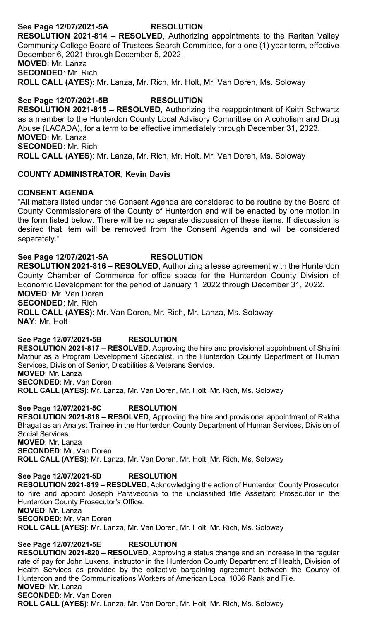# **See Page 12/07/2021-5A RESOLUTION**

**RESOLUTION 2021-814 – RESOLVED**, Authorizing appointments to the Raritan Valley Community College Board of Trustees Search Committee, for a one (1) year term, effective December 6, 2021 through December 5, 2022. **MOVED**: Mr. Lanza **SECONDED**: Mr. Rich **ROLL CALL (AYES)**: Mr. Lanza, Mr. Rich, Mr. Holt, Mr. Van Doren, Ms. Soloway

**See Page 12/07/2021-5B RESOLUTION RESOLUTION 2021-815 – RESOLVED,** Authorizing the reappointment of Keith Schwartz as a member to the Hunterdon County Local Advisory Committee on Alcoholism and Drug Abuse (LACADA), for a term to be effective immediately through December 31, 2023. **MOVED**: Mr. Lanza **SECONDED**: Mr. Rich **ROLL CALL (AYES)**: Mr. Lanza, Mr. Rich, Mr. Holt, Mr. Van Doren, Ms. Soloway

# **COUNTY ADMINISTRATOR, Kevin Davis**

### **CONSENT AGENDA**

"All matters listed under the Consent Agenda are considered to be routine by the Board of County Commissioners of the County of Hunterdon and will be enacted by one motion in the form listed below. There will be no separate discussion of these items. If discussion is desired that item will be removed from the Consent Agenda and will be considered separately."

# **See Page 12/07/2021-5A RESOLUTION**

**RESOLUTION 2021-816 – RESOLVED**, Authorizing a lease agreement with the Hunterdon County Chamber of Commerce for office space for the Hunterdon County Division of Economic Development for the period of January 1, 2022 through December 31, 2022. **MOVED**: Mr. Van Doren

#### **SECONDED**: Mr. Rich

**ROLL CALL (AYES)**: Mr. Van Doren, Mr. Rich, Mr. Lanza, Ms. Soloway **NAY:** Mr. Holt

### **See Page 12/07/2021-5B RESOLUTION**

**RESOLUTION 2021-817 – RESOLVED**, Approving the hire and provisional appointment of Shalini Mathur as a Program Development Specialist, in the Hunterdon County Department of Human Services, Division of Senior, Disabilities & Veterans Service. **MOVED**: Mr. Lanza

**SECONDED**: Mr. Van Doren

**ROLL CALL (AYES)**: Mr. Lanza, Mr. Van Doren, Mr. Holt, Mr. Rich, Ms. Soloway

# **See Page 12/07/2021-5C RESOLUTION**

**RESOLUTION 2021-818 – RESOLVED**, Approving the hire and provisional appointment of Rekha Bhagat as an Analyst Trainee in the Hunterdon County Department of Human Services, Division of Social Services. **MOVED**: Mr. Lanza **SECONDED**: Mr. Van Doren

**ROLL CALL (AYES)**: Mr. Lanza, Mr. Van Doren, Mr. Holt, Mr. Rich, Ms. Soloway

### **See Page 12/07/2021-5D RESOLUTION**

**RESOLUTION 2021-819 – RESOLVED**, Acknowledging the action of Hunterdon County Prosecutor to hire and appoint Joseph Paravecchia to the unclassified title Assistant Prosecutor in the Hunterdon County Prosecutor's Office. **MOVED**: Mr. Lanza **SECONDED**: Mr. Van Doren

**ROLL CALL (AYES)**: Mr. Lanza, Mr. Van Doren, Mr. Holt, Mr. Rich, Ms. Soloway

# **See Page 12/07/2021-5E RESOLUTION**

**RESOLUTION 2021-820 – RESOLVED**, Approving a status change and an increase in the regular rate of pay for John Lukens, instructor in the Hunterdon County Department of Health, Division of Health Services as provided by the collective bargaining agreement between the County of Hunterdon and the Communications Workers of American Local 1036 Rank and File. **MOVED**: Mr. Lanza

**SECONDED**: Mr. Van Doren

**ROLL CALL (AYES)**: Mr. Lanza, Mr. Van Doren, Mr. Holt, Mr. Rich, Ms. Soloway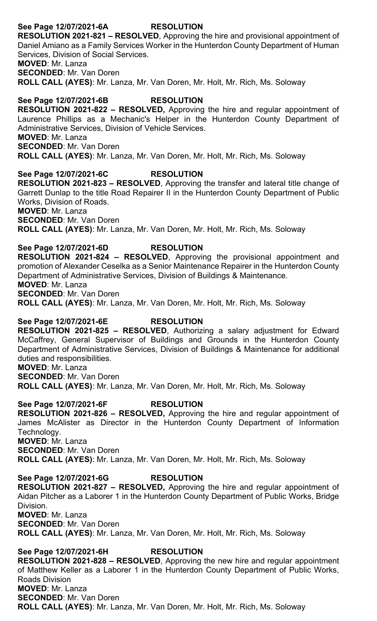# **See Page 12/07/2021-6A RESOLUTION**

**RESOLUTION 2021-821 – RESOLVED**, Approving the hire and provisional appointment of Daniel Amiano as a Family Services Worker in the Hunterdon County Department of Human Services, Division of Social Services.

**MOVED**: Mr. Lanza

**SECONDED**: Mr. Van Doren

**ROLL CALL (AYES)**: Mr. Lanza, Mr. Van Doren, Mr. Holt, Mr. Rich, Ms. Soloway

# **See Page 12/07/2021-6B RESOLUTION**

**RESOLUTION 2021-822 – RESOLVED,** Approving the hire and regular appointment of Laurence Phillips as a Mechanic's Helper in the Hunterdon County Department of Administrative Services, Division of Vehicle Services. **MOVED**: Mr. Lanza

**SECONDED**: Mr. Van Doren

**ROLL CALL (AYES)**: Mr. Lanza, Mr. Van Doren, Mr. Holt, Mr. Rich, Ms. Soloway

# **See Page 12/07/2021-6C RESOLUTION**

**RESOLUTION 2021-823 – RESOLVED**, Approving the transfer and lateral title change of Garrett Dunlap to the title Road Repairer II in the Hunterdon County Department of Public Works, Division of Roads. **MOVED**: Mr. Lanza **SECONDED**: Mr. Van Doren

**ROLL CALL (AYES)**: Mr. Lanza, Mr. Van Doren, Mr. Holt, Mr. Rich, Ms. Soloway

# **See Page 12/07/2021-6D RESOLUTION**

**RESOLUTION 2021-824 – RESOLVED**, Approving the provisional appointment and promotion of Alexander Ceselka as a Senior Maintenance Repairer in the Hunterdon County Department of Administrative Services, Division of Buildings & Maintenance. **MOVED**: Mr. Lanza

**SECONDED**: Mr. Van Doren

**ROLL CALL (AYES)**: Mr. Lanza, Mr. Van Doren, Mr. Holt, Mr. Rich, Ms. Soloway

# **See Page 12/07/2021-6E RESOLUTION**

**RESOLUTION 2021-825 – RESOLVED**, Authorizing a salary adjustment for Edward McCaffrey, General Supervisor of Buildings and Grounds in the Hunterdon County Department of Administrative Services, Division of Buildings & Maintenance for additional duties and responsibilities. **MOVED**: Mr. Lanza

**SECONDED**: Mr. Van Doren **ROLL CALL (AYES)**: Mr. Lanza, Mr. Van Doren, Mr. Holt, Mr. Rich, Ms. Soloway

# **See Page 12/07/2021-6F RESOLUTION**

**RESOLUTION 2021-826 – RESOLVED,** Approving the hire and regular appointment of James McAlister as Director in the Hunterdon County Department of Information Technology. **MOVED**: Mr. Lanza

**SECONDED**: Mr. Van Doren

**ROLL CALL (AYES)**: Mr. Lanza, Mr. Van Doren, Mr. Holt, Mr. Rich, Ms. Soloway

# **See Page 12/07/2021-6G RESOLUTION**

**RESOLUTION 2021-827 – RESOLVED,** Approving the hire and regular appointment of Aidan Pitcher as a Laborer 1 in the Hunterdon County Department of Public Works, Bridge Division. **MOVED**: Mr. Lanza

**SECONDED**: Mr. Van Doren

**ROLL CALL (AYES)**: Mr. Lanza, Mr. Van Doren, Mr. Holt, Mr. Rich, Ms. Soloway

# **See Page 12/07/2021-6H RESOLUTION**

**RESOLUTION 2021-828 – RESOLVED**, Approving the new hire and regular appointment of Matthew Keller as a Laborer 1 in the Hunterdon County Department of Public Works, Roads Division **MOVED**: Mr. Lanza **SECONDED**: Mr. Van Doren **ROLL CALL (AYES)**: Mr. Lanza, Mr. Van Doren, Mr. Holt, Mr. Rich, Ms. Soloway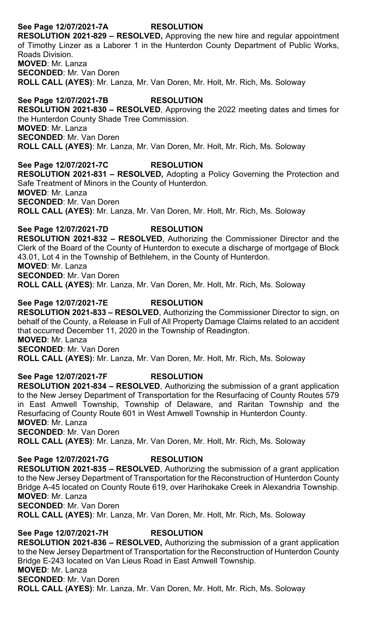# **See Page 12/07/2021-7A RESOLUTION**

**RESOLUTION 2021-829 – RESOLVED,** Approving the new hire and regular appointment of Timothy Linzer as a Laborer 1 in the Hunterdon County Department of Public Works, Roads Division. **MOVED**: Mr. Lanza

**SECONDED**: Mr. Van Doren

**ROLL CALL (AYES)**: Mr. Lanza, Mr. Van Doren, Mr. Holt, Mr. Rich, Ms. Soloway

# **See Page 12/07/2021-7B RESOLUTION**

**RESOLUTION 2021-830 – RESOLVED**, Approving the 2022 meeting dates and times for the Hunterdon County Shade Tree Commission. **MOVED**: Mr. Lanza **SECONDED**: Mr. Van Doren **ROLL CALL (AYES)**: Mr. Lanza, Mr. Van Doren, Mr. Holt, Mr. Rich, Ms. Soloway

**See Page 12/07/2021-7C RESOLUTION RESOLUTION 2021-831 – RESOLVED,** Adopting a Policy Governing the Protection and Safe Treatment of Minors in the County of Hunterdon. **MOVED**: Mr. Lanza **SECONDED**: Mr. Van Doren **ROLL CALL (AYES)**: Mr. Lanza, Mr. Van Doren, Mr. Holt, Mr. Rich, Ms. Soloway

**See Page 12/07/2021-7D RESOLUTION RESOLUTION 2021-832 – RESOLVED**, Authorizing the Commissioner Director and the Clerk of the Board of the County of Hunterdon to execute a discharge of mortgage of Block 43.01, Lot 4 in the Township of Bethlehem, in the County of Hunterdon. **MOVED**: Mr. Lanza **SECONDED**: Mr. Van Doren **ROLL CALL (AYES)**: Mr. Lanza, Mr. Van Doren, Mr. Holt, Mr. Rich, Ms. Soloway

# **See Page 12/07/2021-7E RESOLUTION**

**RESOLUTION 2021-833 – RESOLVED**, Authorizing the Commissioner Director to sign, on behalf of the County, a Release in Full of All Property Damage Claims related to an accident that occurred December 11, 2020 in the Township of Readington. **MOVED**: Mr. Lanza **SECONDED**: Mr. Van Doren **ROLL CALL (AYES)**: Mr. Lanza, Mr. Van Doren, Mr. Holt, Mr. Rich, Ms. Soloway

# **See Page 12/07/2021-7F RESOLUTION**

**RESOLUTION 2021-834 – RESOLVED**, Authorizing the submission of a grant application to the New Jersey Department of Transportation for the Resurfacing of County Routes 579 in East Amwell Township, Township of Delaware, and Raritan Township and the Resurfacing of County Route 601 in West Amwell Township in Hunterdon County. **MOVED**: Mr. Lanza **SECONDED**: Mr. Van Doren

**ROLL CALL (AYES)**: Mr. Lanza, Mr. Van Doren, Mr. Holt, Mr. Rich, Ms. Soloway

**See Page 12/07/2021-7G RESOLUTION RESOLUTION 2021-835 – RESOLVED**, Authorizing the submission of a grant application to the New Jersey Department of Transportation for the Reconstruction of Hunterdon County Bridge A-45 located on County Route 619, over Harihokake Creek in Alexandria Township. **MOVED**: Mr. Lanza **SECONDED**: Mr. Van Doren **ROLL CALL (AYES)**: Mr. Lanza, Mr. Van Doren, Mr. Holt, Mr. Rich, Ms. Soloway

**See Page 12/07/2021-7H RESOLUTION RESOLUTION 2021-836 – RESOLVED,** Authorizing the submission of a grant application to the New Jersey Department of Transportation for the Reconstruction of Hunterdon County Bridge E-243 located on Van Lieus Road in East Amwell Township. **MOVED**: Mr. Lanza **SECONDED**: Mr. Van Doren **ROLL CALL (AYES)**: Mr. Lanza, Mr. Van Doren, Mr. Holt, Mr. Rich, Ms. Soloway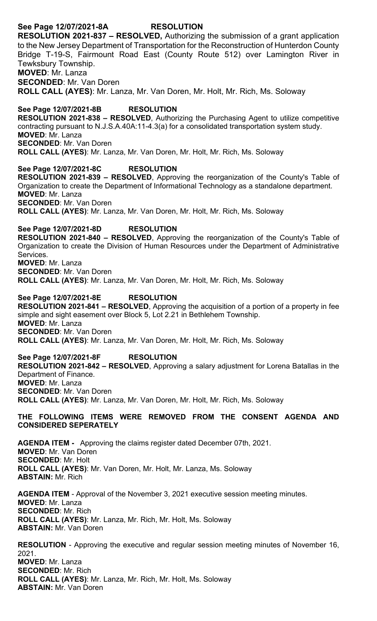# **See Page 12/07/2021-8A RESOLUTION**

**RESOLUTION 2021-837 – RESOLVED,** Authorizing the submission of a grant application to the New Jersey Department of Transportation for the Reconstruction of Hunterdon County Bridge T-19-S, Fairmount Road East (County Route 512) over Lamington River in Tewksbury Township. **MOVED**: Mr. Lanza

**SECONDED**: Mr. Van Doren

**ROLL CALL (AYES)**: Mr. Lanza, Mr. Van Doren, Mr. Holt, Mr. Rich, Ms. Soloway

#### **See Page 12/07/2021-8B RESOLUTION**

**RESOLUTION 2021-838 – RESOLVED**, Authorizing the Purchasing Agent to utilize competitive contracting pursuant to N.J.S.A.40A:11-4.3(a) for a consolidated transportation system study. **MOVED**: Mr. Lanza **SECONDED**: Mr. Van Doren **ROLL CALL (AYES)**: Mr. Lanza, Mr. Van Doren, Mr. Holt, Mr. Rich, Ms. Soloway

#### **See Page 12/07/2021-8C RESOLUTION**

**RESOLUTION 2021-839 – RESOLVED**, Approving the reorganization of the County's Table of Organization to create the Department of Informational Technology as a standalone department. **MOVED**: Mr. Lanza **SECONDED**: Mr. Van Doren

**ROLL CALL (AYES)**: Mr. Lanza, Mr. Van Doren, Mr. Holt, Mr. Rich, Ms. Soloway

### **See Page 12/07/2021-8D RESOLUTION**

**RESOLUTION 2021-840 – RESOLVED**, Approving the reorganization of the County's Table of Organization to create the Division of Human Resources under the Department of Administrative Services. **MOVED**: Mr. Lanza **SECONDED**: Mr. Van Doren

**ROLL CALL (AYES)**: Mr. Lanza, Mr. Van Doren, Mr. Holt, Mr. Rich, Ms. Soloway

#### **See Page 12/07/2021-8E RESOLUTION**

**RESOLUTION 2021-841 – RESOLVED**, Approving the acquisition of a portion of a property in fee simple and sight easement over Block 5, Lot 2.21 in Bethlehem Township. **MOVED**: Mr. Lanza **SECONDED**: Mr. Van Doren **ROLL CALL (AYES)**: Mr. Lanza, Mr. Van Doren, Mr. Holt, Mr. Rich, Ms. Soloway

#### **See Page 12/07/2021-8F RESOLUTION**

**RESOLUTION 2021-842 – RESOLVED**, Approving a salary adjustment for Lorena Batallas in the Department of Finance. **MOVED**: Mr. Lanza **SECONDED**: Mr. Van Doren **ROLL CALL (AYES)**: Mr. Lanza, Mr. Van Doren, Mr. Holt, Mr. Rich, Ms. Soloway

#### **THE FOLLOWING ITEMS WERE REMOVED FROM THE CONSENT AGENDA AND CONSIDERED SEPERATELY**

**AGENDA ITEM -** Approving the claims register dated December 07th, 2021. **MOVED**: Mr. Van Doren **SECONDED**: Mr. Holt **ROLL CALL (AYES)**: Mr. Van Doren, Mr. Holt, Mr. Lanza, Ms. Soloway **ABSTAIN:** Mr. Rich

**AGENDA ITEM** - Approval of the November 3, 2021 executive session meeting minutes. **MOVED**: Mr. Lanza **SECONDED**: Mr. Rich **ROLL CALL (AYES)**: Mr. Lanza, Mr. Rich, Mr. Holt, Ms. Soloway **ABSTAIN:** Mr. Van Doren

**RESOLUTION** - Approving the executive and regular session meeting minutes of November 16, 2021. **MOVED**: Mr. Lanza **SECONDED**: Mr. Rich **ROLL CALL (AYES)**: Mr. Lanza, Mr. Rich, Mr. Holt, Ms. Soloway **ABSTAIN:** Mr. Van Doren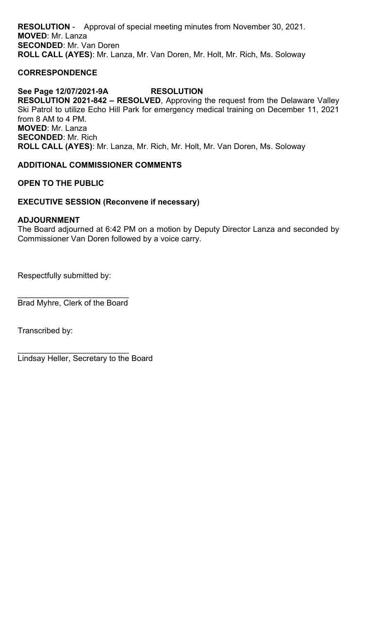**RESOLUTION** - Approval of special meeting minutes from November 30, 2021. **MOVED**: Mr. Lanza **SECONDED**: Mr. Van Doren **ROLL CALL (AYES)**: Mr. Lanza, Mr. Van Doren, Mr. Holt, Mr. Rich, Ms. Soloway

# **CORRESPONDENCE**

# **See Page 12/07/2021-9A RESOLUTION**

**RESOLUTION 2021-842 – RESOLVED**, Approving the request from the Delaware Valley Ski Patrol to utilize Echo Hill Park for emergency medical training on December 11, 2021 from 8 AM to 4 PM. **MOVED**: Mr. Lanza **SECONDED**: Mr. Rich **ROLL CALL (AYES)**: Mr. Lanza, Mr. Rich, Mr. Holt, Mr. Van Doren, Ms. Soloway

# **ADDITIONAL COMMISSIONER COMMENTS**

**OPEN TO THE PUBLIC**

# **EXECUTIVE SESSION (Reconvene if necessary)**

# **ADJOURNMENT**

The Board adjourned at 6:42 PM on a motion by Deputy Director Lanza and seconded by Commissioner Van Doren followed by a voice carry.

Respectfully submitted by:

\_\_\_\_\_\_\_\_\_\_\_\_\_\_\_\_\_\_\_\_\_\_\_\_\_ Brad Myhre, Clerk of the Board

Transcribed by:

\_\_\_\_\_\_\_\_\_\_\_\_\_\_\_\_\_\_\_\_\_\_\_\_\_ Lindsay Heller, Secretary to the Board